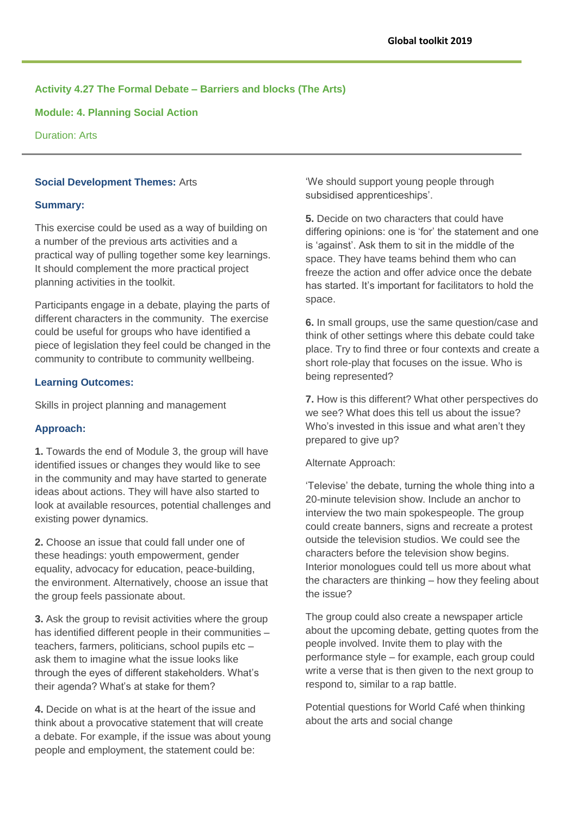# **Activity 4.27 The Formal Debate – Barriers and blocks (The Arts)**

**Module: 4. Planning Social Action**

Duration: Arts

## **Social Development Themes:** Arts

#### **Summary:**

This exercise could be used as a way of building on a number of the previous arts activities and a practical way of pulling together some key learnings. It should complement the more practical project planning activities in the toolkit.

Participants engage in a debate, playing the parts of different characters in the community. The exercise could be useful for groups who have identified a piece of legislation they feel could be changed in the community to contribute to community wellbeing.

#### **Learning Outcomes:**

Skills in project planning and management

## **Approach:**

**1.** Towards the end of Module 3, the group will have identified issues or changes they would like to see in the community and may have started to generate ideas about actions. They will have also started to look at available resources, potential challenges and existing power dynamics.

**2.** Choose an issue that could fall under one of these headings: youth empowerment, gender equality, advocacy for education, peace-building, the environment. Alternatively, choose an issue that the group feels passionate about.

**3.** Ask the group to revisit activities where the group has identified different people in their communities – teachers, farmers, politicians, school pupils etc – ask them to imagine what the issue looks like through the eyes of different stakeholders. What's their agenda? What's at stake for them?

**4.** Decide on what is at the heart of the issue and think about a provocative statement that will create a debate. For example, if the issue was about young people and employment, the statement could be:

'We should support young people through subsidised apprenticeships'.

**5.** Decide on two characters that could have differing opinions: one is 'for' the statement and one is 'against'. Ask them to sit in the middle of the space. They have teams behind them who can freeze the action and offer advice once the debate has started. It's important for facilitators to hold the space.

**6.** In small groups, use the same question/case and think of other settings where this debate could take place. Try to find three or four contexts and create a short role-play that focuses on the issue. Who is being represented?

**7.** How is this different? What other perspectives do we see? What does this tell us about the issue? Who's invested in this issue and what aren't they prepared to give up?

#### Alternate Approach:

'Televise' the debate, turning the whole thing into a 20-minute television show. Include an anchor to interview the two main spokespeople. The group could create banners, signs and recreate a protest outside the television studios. We could see the characters before the television show begins. Interior monologues could tell us more about what the characters are thinking – how they feeling about the issue?

The group could also create a newspaper article about the upcoming debate, getting quotes from the people involved. Invite them to play with the performance style – for example, each group could write a verse that is then given to the next group to respond to, similar to a rap battle.

Potential questions for World Café when thinking about the arts and social change